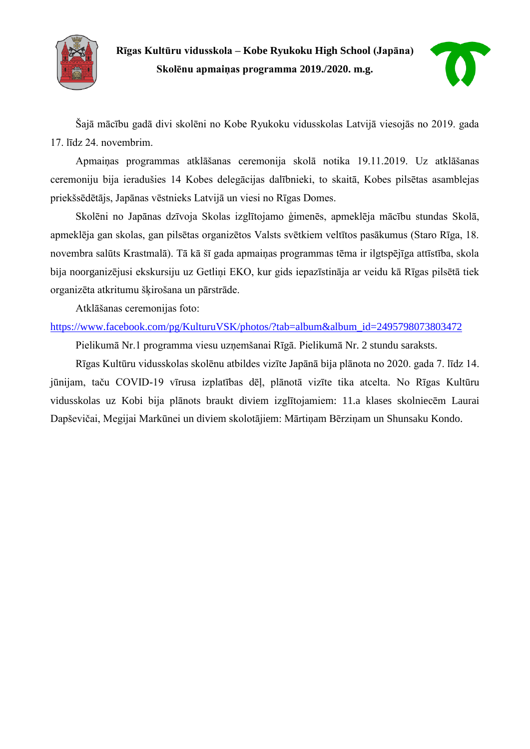

**Rīgas Kultūru vidusskola – Kobe Ryukoku High School (Japāna) Skolēnu apmaiņas programma 2019./2020. m.g.**



Šajā mācību gadā divi skolēni no Kobe Ryukoku vidusskolas Latvijā viesojās no 2019. gada 17. līdz 24. novembrim.

Apmaiņas programmas atklāšanas ceremonija skolā notika 19.11.2019. Uz atklāšanas ceremoniju bija ieradušies 14 Kobes delegācijas dalībnieki, to skaitā, Kobes pilsētas asamblejas priekšsēdētājs, Japānas vēstnieks Latvijā un viesi no Rīgas Domes.

Skolēni no Japānas dzīvoja Skolas izglītojamo ģimenēs, apmeklēja mācību stundas Skolā, apmeklēja gan skolas, gan pilsētas organizētos Valsts svētkiem veltītos pasākumus (Staro Rīga, 18. novembra salūts Krastmalā). Tā kā šī gada apmaiņas programmas tēma ir ilgtspējīga attīstība, skola bija noorganizējusi ekskursiju uz Getliņi EKO, kur gids iepazīstināja ar veidu kā Rīgas pilsētā tiek organizēta atkritumu šķirošana un pārstrāde.

Atklāšanas ceremonijas foto:

[https://www.facebook.com/pg/KulturuVSK/photos/?tab=album&album\\_id=2495798073803472](https://www.facebook.com/pg/KulturuVSK/photos/?tab=album&album_id=2495798073803472)

Pielikumā Nr.1 programma viesu uzņemšanai Rīgā. Pielikumā Nr. 2 stundu saraksts.

Rīgas Kultūru vidusskolas skolēnu atbildes vizīte Japānā bija plānota no 2020. gada 7. līdz 14. jūnijam, taču COVID-19 vīrusa izplatības dēļ, plānotā vizīte tika atcelta. No Rīgas Kultūru vidusskolas uz Kobi bija plānots braukt diviem izglītojamiem: 11.a klases skolniecēm Laurai Dapševičai, Megijai Markūnei un diviem skolotājiem: Mārtiņam Bērziņam un Shunsaku Kondo.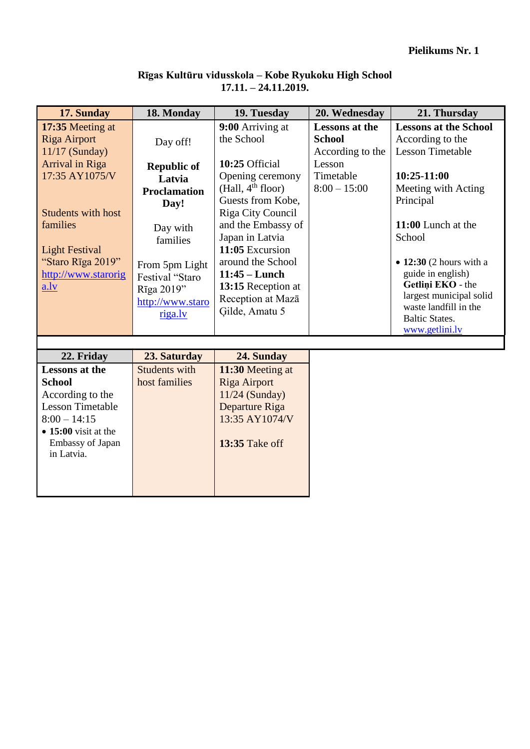|  | Rīgas Kultūru vidusskola – Kobe Ryukoku High School |  |
|--|-----------------------------------------------------|--|
|  | $17.11. - 24.11.2019.$                              |  |

| 18. Monday<br>17. Sunday     |                     | 19. Tuesday                        | 20. Wednesday         | 21. Thursday                                   |  |  |  |
|------------------------------|---------------------|------------------------------------|-----------------------|------------------------------------------------|--|--|--|
| 17:35 Meeting at             |                     |                                    | <b>Lessons at the</b> | <b>Lessons at the School</b>                   |  |  |  |
| <b>Riga Airport</b>          | Day off!            | the School                         | <b>School</b>         | According to the                               |  |  |  |
| $11/17$ (Sunday)             |                     |                                    | According to the      | <b>Lesson Timetable</b>                        |  |  |  |
| Arrival in Riga              | <b>Republic of</b>  | 10:25 Official                     | Lesson                |                                                |  |  |  |
| 17:35 AY1075/V               | Latvia              | Opening ceremony                   | Timetable             | $10:25-11:00$                                  |  |  |  |
|                              | <b>Proclamation</b> | (Hall, 4 <sup>th</sup> floor)      | $8:00 - 15:00$        | Meeting with Acting                            |  |  |  |
|                              | Day!                | Guests from Kobe,                  |                       | Principal                                      |  |  |  |
| <b>Students with host</b>    |                     | Riga City Council                  |                       |                                                |  |  |  |
| families                     | Day with            | and the Embassy of                 |                       | 11:00 Lunch at the                             |  |  |  |
|                              | families            | Japan in Latvia<br>11:05 Excursion |                       | School                                         |  |  |  |
| <b>Light Festival</b>        |                     |                                    |                       |                                                |  |  |  |
| "Staro Rīga 2019"            | From 5pm Light      | around the School                  |                       | $\bullet$ 12:30 (2 hours with a                |  |  |  |
| http://www.starorig          | Festival "Staro     | $11:45$ – Lunch                    |                       | guide in english)                              |  |  |  |
| a.Iv                         | Rīga 2019"          | 13:15 Reception at                 |                       | Getlini EKO - the                              |  |  |  |
|                              | http://www.staro    | Reception at Mazā                  |                       | largest municipal solid                        |  |  |  |
|                              | riga.lv             | Gilde, Amatu 5                     |                       | waste landfill in the<br><b>Baltic States.</b> |  |  |  |
|                              |                     |                                    |                       | www.getlini.lv                                 |  |  |  |
|                              |                     |                                    |                       |                                                |  |  |  |
| 22. Friday                   | 23. Saturday        | 24. Sunday                         |                       |                                                |  |  |  |
| <b>Lessons at the</b>        | Students with       | 11:30 Meeting at                   |                       |                                                |  |  |  |
| <b>School</b>                | host families       | <b>Riga Airport</b>                |                       |                                                |  |  |  |
| According to the             |                     | $11/24$ (Sunday)                   |                       |                                                |  |  |  |
| <b>Lesson Timetable</b>      |                     | Departure Riga                     |                       |                                                |  |  |  |
| $8:00 - 14:15$               |                     | 13:35 AY1074/V                     |                       |                                                |  |  |  |
| $\bullet$ 15:00 visit at the |                     |                                    |                       |                                                |  |  |  |

**13:35** Take off

Embassy of Japan

in Latvia.